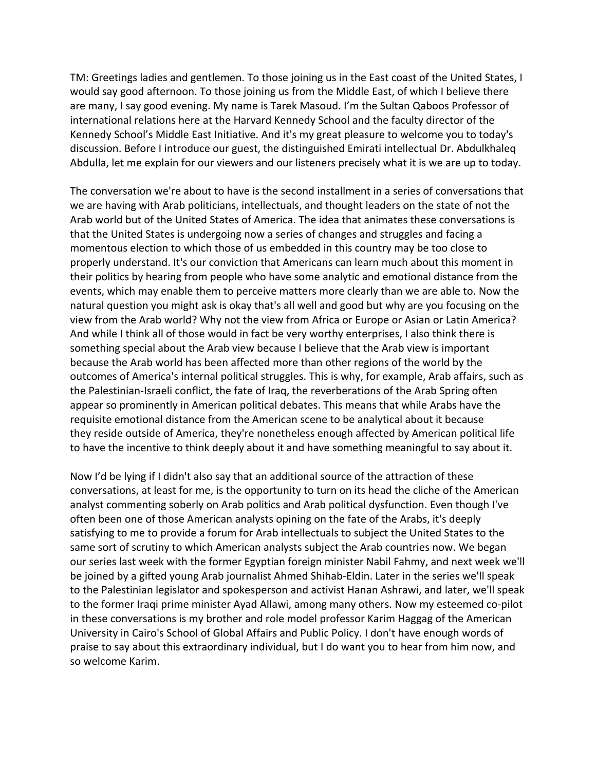TM: Greetings ladies and gentlemen. To those joining us in the East coast of the United States, I would say good afternoon. To those joining us from the Middle East, of which I believe there are many, I say good evening. My name is Tarek Masoud. I'm the Sultan Qaboos Professor of international relations here at the Harvard Kennedy School and the faculty director of the Kennedy School's Middle East Initiative. And it's my great pleasure to welcome you to today's discussion. Before I introduce our guest, the distinguished Emirati intellectual Dr. Abdulkhaleq Abdulla, let me explain for our viewers and our listeners precisely what it is we are up to today.

The conversation we're about to have is the second installment in a series of conversations that we are having with Arab politicians, intellectuals, and thought leaders on the state of not the Arab world but of the United States of America. The idea that animates these conversations is that the United States is undergoing now a series of changes and struggles and facing a momentous election to which those of us embedded in this country may be too close to properly understand. It's our conviction that Americans can learn much about this moment in their politics by hearing from people who have some analytic and emotional distance from the events, which may enable them to perceive matters more clearly than we are able to. Now the natural question you might ask is okay that's all well and good but why are you focusing on the view from the Arab world? Why not the view from Africa or Europe or Asian or Latin America? And while I think all of those would in fact be very worthy enterprises, I also think there is something special about the Arab view because I believe that the Arab view is important because the Arab world has been affected more than other regions of the world by the outcomes of America's internal political struggles. This is why, for example, Arab affairs, such as the Palestinian-Israeli conflict, the fate of Iraq, the reverberations of the Arab Spring often appear so prominently in American political debates. This means that while Arabs have the requisite emotional distance from the American scene to be analytical about it because they reside outside of America, they're nonetheless enough affected by American political life to have the incentive to think deeply about it and have something meaningful to say about it.

Now I'd be lying if I didn't also say that an additional source of the attraction of these conversations, at least for me, is the opportunity to turn on its head the cliche of the American analyst commenting soberly on Arab politics and Arab political dysfunction. Even though I've often been one of those American analysts opining on the fate of the Arabs, it's deeply satisfying to me to provide a forum for Arab intellectuals to subject the United States to the same sort of scrutiny to which American analysts subject the Arab countries now. We began our series last week with the former Egyptian foreign minister Nabil Fahmy, and next week we'll be joined by a gifted young Arab journalist Ahmed Shihab-Eldin. Later in the series we'll speak to the Palestinian legislator and spokesperson and activist Hanan Ashrawi, and later, we'll speak to the former Iraqi prime minister Ayad Allawi, among many others. Now my esteemed co-pilot in these conversations is my brother and role model professor Karim Haggag of the American University in Cairo's School of Global Affairs and Public Policy. I don't have enough words of praise to say about this extraordinary individual, but I do want you to hear from him now, and so welcome Karim.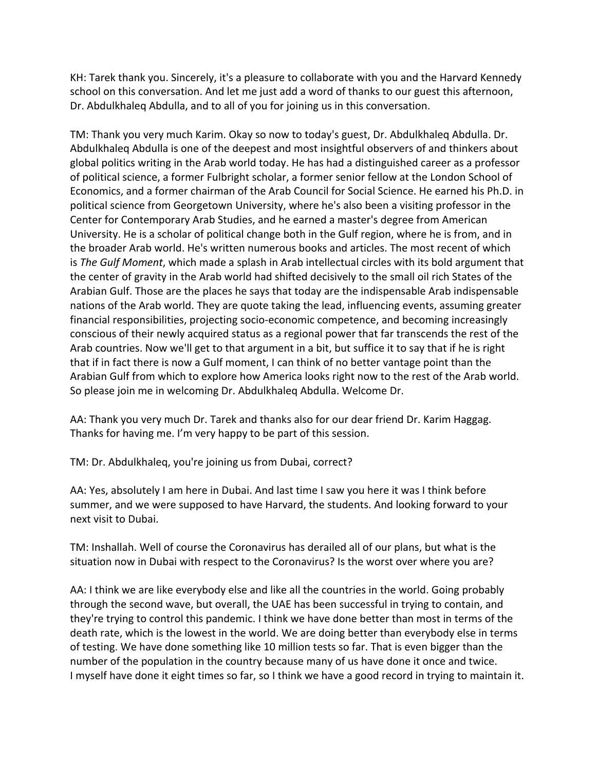KH: Tarek thank you. Sincerely, it's a pleasure to collaborate with you and the Harvard Kennedy school on this conversation. And let me just add a word of thanks to our guest this afternoon, Dr. Abdulkhaleq Abdulla, and to all of you for joining us in this conversation.

TM: Thank you very much Karim. Okay so now to today's guest, Dr. Abdulkhaleq Abdulla. Dr. Abdulkhaleq Abdulla is one of the deepest and most insightful observers of and thinkers about global politics writing in the Arab world today. He has had a distinguished career as a professor of political science, a former Fulbright scholar, a former senior fellow at the London School of Economics, and a former chairman of the Arab Council for Social Science. He earned his Ph.D. in political science from Georgetown University, where he's also been a visiting professor in the Center for Contemporary Arab Studies, and he earned a master's degree from American University. He is a scholar of political change both in the Gulf region, where he is from, and in the broader Arab world. He's written numerous books and articles. The most recent of which is *The Gulf Moment*, which made a splash in Arab intellectual circles with its bold argument that the center of gravity in the Arab world had shifted decisively to the small oil rich States of the Arabian Gulf. Those are the places he says that today are the indispensable Arab indispensable nations of the Arab world. They are quote taking the lead, influencing events, assuming greater financial responsibilities, projecting socio-economic competence, and becoming increasingly conscious of their newly acquired status as a regional power that far transcends the rest of the Arab countries. Now we'll get to that argument in a bit, but suffice it to say that if he is right that if in fact there is now a Gulf moment, I can think of no better vantage point than the Arabian Gulf from which to explore how America looks right now to the rest of the Arab world. So please join me in welcoming Dr. Abdulkhaleq Abdulla. Welcome Dr.

AA: Thank you very much Dr. Tarek and thanks also for our dear friend Dr. Karim Haggag. Thanks for having me. I'm very happy to be part of this session.

TM: Dr. Abdulkhaleq, you're joining us from Dubai, correct?

AA: Yes, absolutely I am here in Dubai. And last time I saw you here it was I think before summer, and we were supposed to have Harvard, the students. And looking forward to your next visit to Dubai.

TM: Inshallah. Well of course the Coronavirus has derailed all of our plans, but what is the situation now in Dubai with respect to the Coronavirus? Is the worst over where you are?

AA: I think we are like everybody else and like all the countries in the world. Going probably through the second wave, but overall, the UAE has been successful in trying to contain, and they're trying to control this pandemic. I think we have done better than most in terms of the death rate, which is the lowest in the world. We are doing better than everybody else in terms of testing. We have done something like 10 million tests so far. That is even bigger than the number of the population in the country because many of us have done it once and twice. I myself have done it eight times so far, so I think we have a good record in trying to maintain it.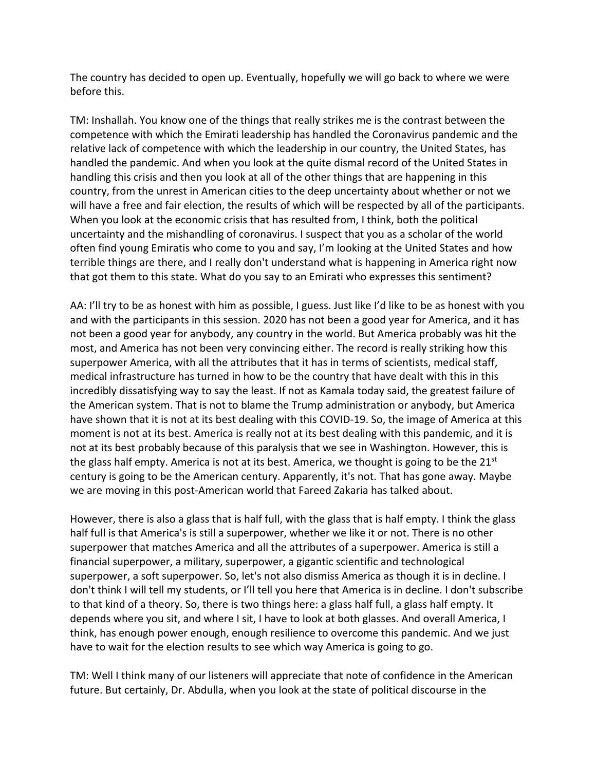The country has decided to open up. Eventually, hopefully we will go back to where we were before this.

TM: Inshallah. You know one of the things that really strikes me is the contrast between the competence with which the Emirati leadership has handled the Coronavirus pandemic and the relative lack of competence with which the leadership in our country, the United States, has handled the pandemic. And when you look at the quite dismal record of the United States in handling this crisis and then you look at all of the other things that are happening in this country, from the unrest in American cities to the deep uncertainty about whether or not we will have a free and fair election, the results of which will be respected by all of the participants. When you look at the economic crisis that has resulted from, I think, both the political uncertainty and the mishandling of coronavirus. I suspect that you as a scholar of the world often find young Emiratis who come to you and say, I'm looking at the United States and how terrible things are there, and I really don't understand what is happening in America right now that got them to this state. What do you say to an Emirati who expresses this sentiment?

AA: I'll try to be as honest with him as possible, I guess. Just like I'd like to be as honest with you and with the participants in this session. 2020 has not been a good year for America, and it has not been a good year for anybody, any country in the world. But America probably was hit the most, and America has not been very convincing either. The record is really striking how this superpower America, with all the attributes that it has in terms of scientists, medical staff, medical infrastructure has turned in how to be the country that have dealt with this in this incredibly dissatisfying way to say the least. If not as Kamala today said, the greatest failure of the American system. That is not to blame the Trump administration or anybody, but America have shown that it is not at its best dealing with this COVID-19. So, the image of America at this moment is not at its best. America is really not at its best dealing with this pandemic, and it is not at its best probably because of this paralysis that we see in Washington. However, this is the glass half empty. America is not at its best. America, we thought is going to be the  $21^{st}$ century is going to be the American century. Apparently, it's not. That has gone away. Maybe we are moving in this post-American world that Fareed Zakaria has talked about.

However, there is also a glass that is half full, with the glass that is half empty. I think the glass half full is that America's is still a superpower, whether we like it or not. There is no other superpower that matches America and all the attributes of a superpower. America is still a financial superpower, a military, superpower, a gigantic scientific and technological superpower, a soft superpower. So, let's not also dismiss America as though it is in decline. I don't think I will tell my students, or I'll tell you here that America is in decline. I don't subscribe to that kind of a theory. So, there is two things here: a glass half full, a glass half empty. It depends where you sit, and where I sit, I have to look at both glasses. And overall America, I think, has enough power enough, enough resilience to overcome this pandemic. And we just have to wait for the election results to see which way America is going to go.

TM: Well I think many of our listeners will appreciate that note of confidence in the American future. But certainly, Dr. Abdulla, when you look at the state of political discourse in the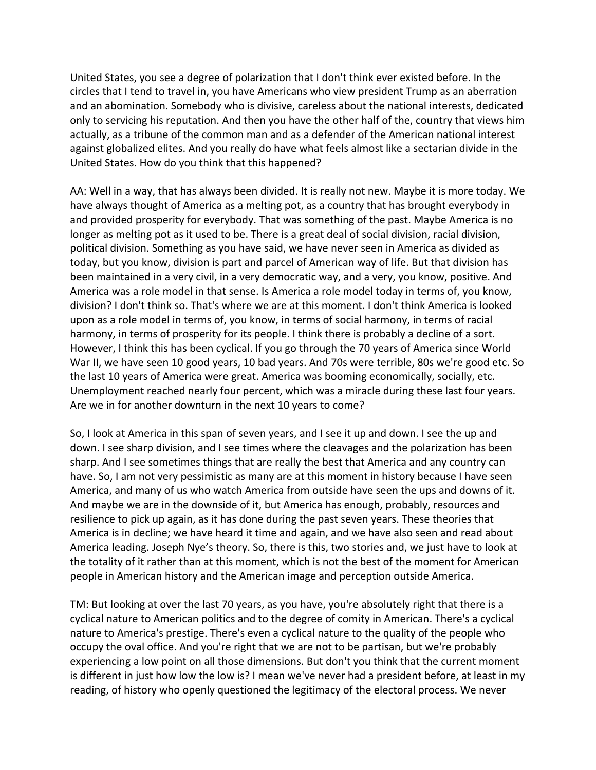United States, you see a degree of polarization that I don't think ever existed before. In the circles that I tend to travel in, you have Americans who view president Trump as an aberration and an abomination. Somebody who is divisive, careless about the national interests, dedicated only to servicing his reputation. And then you have the other half of the, country that views him actually, as a tribune of the common man and as a defender of the American national interest against globalized elites. And you really do have what feels almost like a sectarian divide in the United States. How do you think that this happened?

AA: Well in a way, that has always been divided. It is really not new. Maybe it is more today. We have always thought of America as a melting pot, as a country that has brought everybody in and provided prosperity for everybody. That was something of the past. Maybe America is no longer as melting pot as it used to be. There is a great deal of social division, racial division, political division. Something as you have said, we have never seen in America as divided as today, but you know, division is part and parcel of American way of life. But that division has been maintained in a very civil, in a very democratic way, and a very, you know, positive. And America was a role model in that sense. Is America a role model today in terms of, you know, division? I don't think so. That's where we are at this moment. I don't think America is looked upon as a role model in terms of, you know, in terms of social harmony, in terms of racial harmony, in terms of prosperity for its people. I think there is probably a decline of a sort. However, I think this has been cyclical. If you go through the 70 years of America since World War II, we have seen 10 good years, 10 bad years. And 70s were terrible, 80s we're good etc. So the last 10 years of America were great. America was booming economically, socially, etc. Unemployment reached nearly four percent, which was a miracle during these last four years. Are we in for another downturn in the next 10 years to come?

So, I look at America in this span of seven years, and I see it up and down. I see the up and down. I see sharp division, and I see times where the cleavages and the polarization has been sharp. And I see sometimes things that are really the best that America and any country can have. So, I am not very pessimistic as many are at this moment in history because I have seen America, and many of us who watch America from outside have seen the ups and downs of it. And maybe we are in the downside of it, but America has enough, probably, resources and resilience to pick up again, as it has done during the past seven years. These theories that America is in decline; we have heard it time and again, and we have also seen and read about America leading. Joseph Nye's theory. So, there is this, two stories and, we just have to look at the totality of it rather than at this moment, which is not the best of the moment for American people in American history and the American image and perception outside America.

TM: But looking at over the last 70 years, as you have, you're absolutely right that there is a cyclical nature to American politics and to the degree of comity in American. There's a cyclical nature to America's prestige. There's even a cyclical nature to the quality of the people who occupy the oval office. And you're right that we are not to be partisan, but we're probably experiencing a low point on all those dimensions. But don't you think that the current moment is different in just how low the low is? I mean we've never had a president before, at least in my reading, of history who openly questioned the legitimacy of the electoral process. We never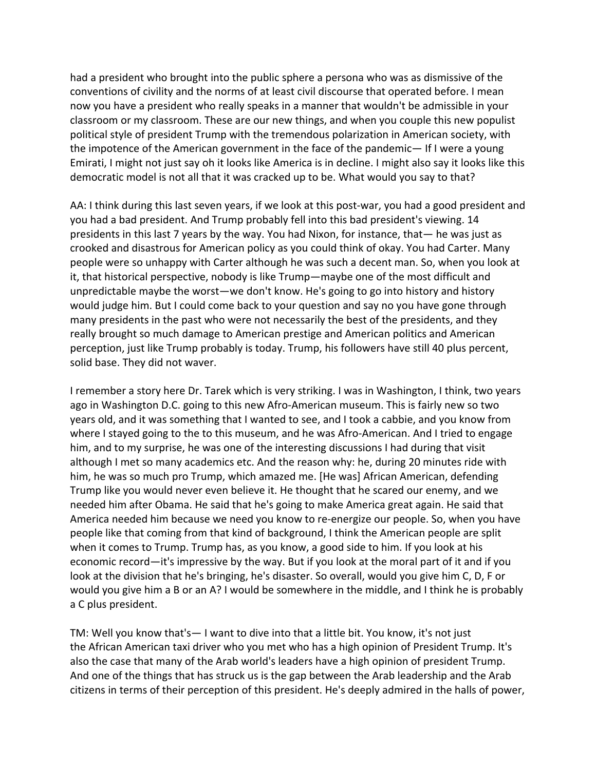had a president who brought into the public sphere a persona who was as dismissive of the conventions of civility and the norms of at least civil discourse that operated before. I mean now you have a president who really speaks in a manner that wouldn't be admissible in your classroom or my classroom. These are our new things, and when you couple this new populist political style of president Trump with the tremendous polarization in American society, with the impotence of the American government in the face of the pandemic— If I were a young Emirati, I might not just say oh it looks like America is in decline. I might also say it looks like this democratic model is not all that it was cracked up to be. What would you say to that?

AA: I think during this last seven years, if we look at this post-war, you had a good president and you had a bad president. And Trump probably fell into this bad president's viewing. 14 presidents in this last 7 years by the way. You had Nixon, for instance, that— he was just as crooked and disastrous for American policy as you could think of okay. You had Carter. Many people were so unhappy with Carter although he was such a decent man. So, when you look at it, that historical perspective, nobody is like Trump—maybe one of the most difficult and unpredictable maybe the worst—we don't know. He's going to go into history and history would judge him. But I could come back to your question and say no you have gone through many presidents in the past who were not necessarily the best of the presidents, and they really brought so much damage to American prestige and American politics and American perception, just like Trump probably is today. Trump, his followers have still 40 plus percent, solid base. They did not waver.

I remember a story here Dr. Tarek which is very striking. I was in Washington, I think, two years ago in Washington D.C. going to this new Afro-American museum. This is fairly new so two years old, and it was something that I wanted to see, and I took a cabbie, and you know from where I stayed going to the to this museum, and he was Afro-American. And I tried to engage him, and to my surprise, he was one of the interesting discussions I had during that visit although I met so many academics etc. And the reason why: he, during 20 minutes ride with him, he was so much pro Trump, which amazed me. [He was] African American, defending Trump like you would never even believe it. He thought that he scared our enemy, and we needed him after Obama. He said that he's going to make America great again. He said that America needed him because we need you know to re-energize our people. So, when you have people like that coming from that kind of background, I think the American people are split when it comes to Trump. Trump has, as you know, a good side to him. If you look at his economic record—it's impressive by the way. But if you look at the moral part of it and if you look at the division that he's bringing, he's disaster. So overall, would you give him C, D, F or would you give him a B or an A? I would be somewhere in the middle, and I think he is probably a C plus president.

TM: Well you know that's— I want to dive into that a little bit. You know, it's not just the African American taxi driver who you met who has a high opinion of President Trump. It's also the case that many of the Arab world's leaders have a high opinion of president Trump. And one of the things that has struck us is the gap between the Arab leadership and the Arab citizens in terms of their perception of this president. He's deeply admired in the halls of power,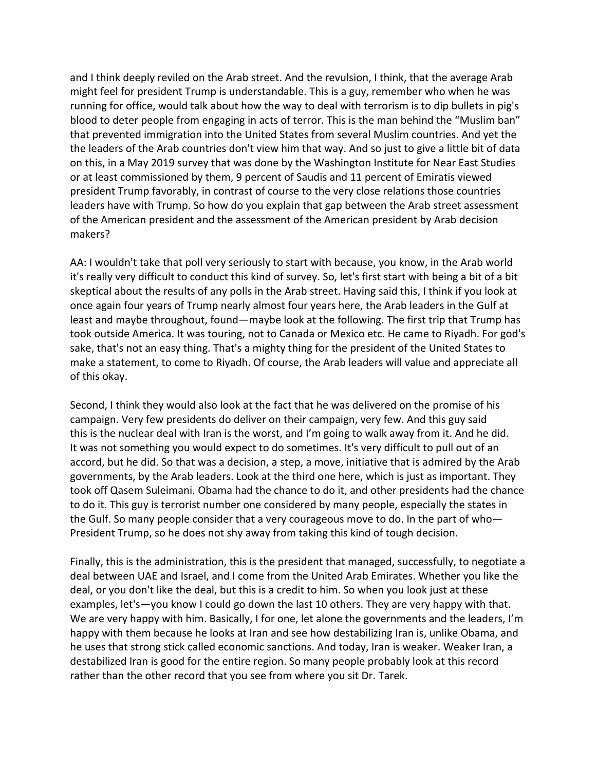and I think deeply reviled on the Arab street. And the revulsion, I think, that the average Arab might feel for president Trump is understandable. This is a guy, remember who when he was running for office, would talk about how the way to deal with terrorism is to dip bullets in pig's blood to deter people from engaging in acts of terror. This is the man behind the "Muslim ban" that prevented immigration into the United States from several Muslim countries. And yet the the leaders of the Arab countries don't view him that way. And so just to give a little bit of data on this, in a May 2019 survey that was done by the Washington Institute for Near East Studies or at least commissioned by them, 9 percent of Saudis and 11 percent of Emiratis viewed president Trump favorably, in contrast of course to the very close relations those countries leaders have with Trump. So how do you explain that gap between the Arab street assessment of the American president and the assessment of the American president by Arab decision makers?

AA: I wouldn't take that poll very seriously to start with because, you know, in the Arab world it's really very difficult to conduct this kind of survey. So, let's first start with being a bit of a bit skeptical about the results of any polls in the Arab street. Having said this, I think if you look at once again four years of Trump nearly almost four years here, the Arab leaders in the Gulf at least and maybe throughout, found—maybe look at the following. The first trip that Trump has took outside America. It was touring, not to Canada or Mexico etc. He came to Riyadh. For god's sake, that's not an easy thing. That's a mighty thing for the president of the United States to make a statement, to come to Riyadh. Of course, the Arab leaders will value and appreciate all of this okay.

Second, I think they would also look at the fact that he was delivered on the promise of his campaign. Very few presidents do deliver on their campaign, very few. And this guy said this is the nuclear deal with Iran is the worst, and I'm going to walk away from it. And he did. It was not something you would expect to do sometimes. It's very difficult to pull out of an accord, but he did. So that was a decision, a step, a move, initiative that is admired by the Arab governments, by the Arab leaders. Look at the third one here, which is just as important. They took off Qasem Suleimani. Obama had the chance to do it, and other presidents had the chance to do it. This guy is terrorist number one considered by many people, especially the states in the Gulf. So many people consider that a very courageous move to do. In the part of who— President Trump, so he does not shy away from taking this kind of tough decision.

Finally, this is the administration, this is the president that managed, successfully, to negotiate a deal between UAE and Israel, and I come from the United Arab Emirates. Whether you like the deal, or you don't like the deal, but this is a credit to him. So when you look just at these examples, let's—you know I could go down the last 10 others. They are very happy with that. We are very happy with him. Basically, I for one, let alone the governments and the leaders, I'm happy with them because he looks at Iran and see how destabilizing Iran is, unlike Obama, and he uses that strong stick called economic sanctions. And today, Iran is weaker. Weaker Iran, a destabilized Iran is good for the entire region. So many people probably look at this record rather than the other record that you see from where you sit Dr. Tarek.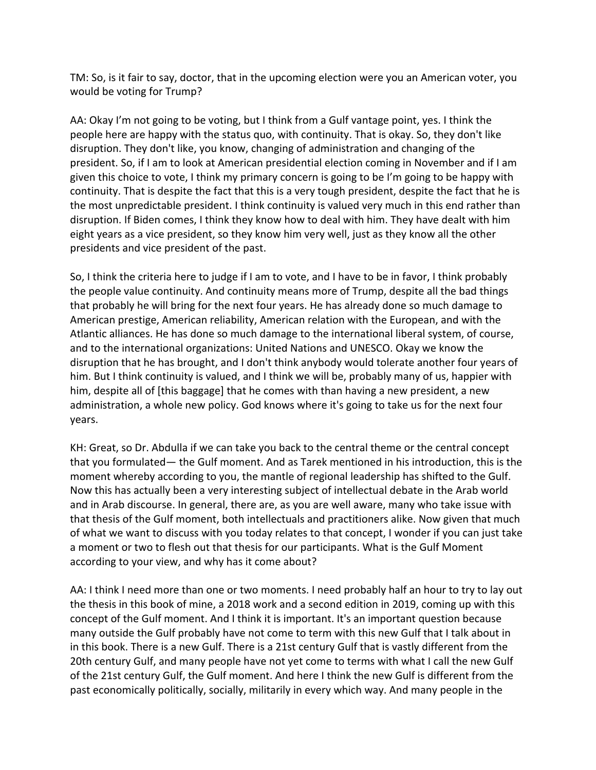TM: So, is it fair to say, doctor, that in the upcoming election were you an American voter, you would be voting for Trump?

AA: Okay I'm not going to be voting, but I think from a Gulf vantage point, yes. I think the people here are happy with the status quo, with continuity. That is okay. So, they don't like disruption. They don't like, you know, changing of administration and changing of the president. So, if I am to look at American presidential election coming in November and if I am given this choice to vote, I think my primary concern is going to be I'm going to be happy with continuity. That is despite the fact that this is a very tough president, despite the fact that he is the most unpredictable president. I think continuity is valued very much in this end rather than disruption. If Biden comes, I think they know how to deal with him. They have dealt with him eight years as a vice president, so they know him very well, just as they know all the other presidents and vice president of the past.

So, I think the criteria here to judge if I am to vote, and I have to be in favor, I think probably the people value continuity. And continuity means more of Trump, despite all the bad things that probably he will bring for the next four years. He has already done so much damage to American prestige, American reliability, American relation with the European, and with the Atlantic alliances. He has done so much damage to the international liberal system, of course, and to the international organizations: United Nations and UNESCO. Okay we know the disruption that he has brought, and I don't think anybody would tolerate another four years of him. But I think continuity is valued, and I think we will be, probably many of us, happier with him, despite all of [this baggage] that he comes with than having a new president, a new administration, a whole new policy. God knows where it's going to take us for the next four years.

KH: Great, so Dr. Abdulla if we can take you back to the central theme or the central concept that you formulated— the Gulf moment. And as Tarek mentioned in his introduction, this is the moment whereby according to you, the mantle of regional leadership has shifted to the Gulf. Now this has actually been a very interesting subject of intellectual debate in the Arab world and in Arab discourse. In general, there are, as you are well aware, many who take issue with that thesis of the Gulf moment, both intellectuals and practitioners alike. Now given that much of what we want to discuss with you today relates to that concept, I wonder if you can just take a moment or two to flesh out that thesis for our participants. What is the Gulf Moment according to your view, and why has it come about?

AA: I think I need more than one or two moments. I need probably half an hour to try to lay out the thesis in this book of mine, a 2018 work and a second edition in 2019, coming up with this concept of the Gulf moment. And I think it is important. It's an important question because many outside the Gulf probably have not come to term with this new Gulf that I talk about in in this book. There is a new Gulf. There is a 21st century Gulf that is vastly different from the 20th century Gulf, and many people have not yet come to terms with what I call the new Gulf of the 21st century Gulf, the Gulf moment. And here I think the new Gulf is different from the past economically politically, socially, militarily in every which way. And many people in the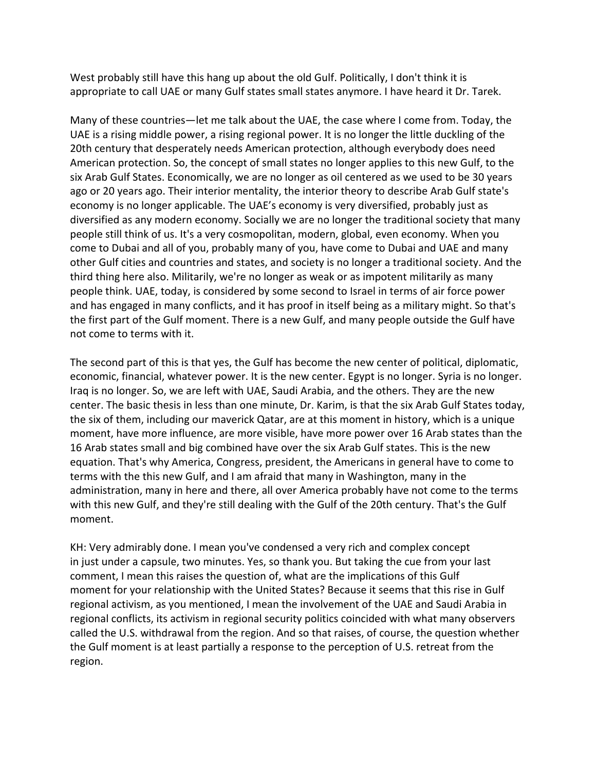West probably still have this hang up about the old Gulf. Politically, I don't think it is appropriate to call UAE or many Gulf states small states anymore. I have heard it Dr. Tarek.

Many of these countries—let me talk about the UAE, the case where I come from. Today, the UAE is a rising middle power, a rising regional power. It is no longer the little duckling of the 20th century that desperately needs American protection, although everybody does need American protection. So, the concept of small states no longer applies to this new Gulf, to the six Arab Gulf States. Economically, we are no longer as oil centered as we used to be 30 years ago or 20 years ago. Their interior mentality, the interior theory to describe Arab Gulf state's economy is no longer applicable. The UAE's economy is very diversified, probably just as diversified as any modern economy. Socially we are no longer the traditional society that many people still think of us. It's a very cosmopolitan, modern, global, even economy. When you come to Dubai and all of you, probably many of you, have come to Dubai and UAE and many other Gulf cities and countries and states, and society is no longer a traditional society. And the third thing here also. Militarily, we're no longer as weak or as impotent militarily as many people think. UAE, today, is considered by some second to Israel in terms of air force power and has engaged in many conflicts, and it has proof in itself being as a military might. So that's the first part of the Gulf moment. There is a new Gulf, and many people outside the Gulf have not come to terms with it.

The second part of this is that yes, the Gulf has become the new center of political, diplomatic, economic, financial, whatever power. It is the new center. Egypt is no longer. Syria is no longer. Iraq is no longer. So, we are left with UAE, Saudi Arabia, and the others. They are the new center. The basic thesis in less than one minute, Dr. Karim, is that the six Arab Gulf States today, the six of them, including our maverick Qatar, are at this moment in history, which is a unique moment, have more influence, are more visible, have more power over 16 Arab states than the 16 Arab states small and big combined have over the six Arab Gulf states. This is the new equation. That's why America, Congress, president, the Americans in general have to come to terms with the this new Gulf, and I am afraid that many in Washington, many in the administration, many in here and there, all over America probably have not come to the terms with this new Gulf, and they're still dealing with the Gulf of the 20th century. That's the Gulf moment.

KH: Very admirably done. I mean you've condensed a very rich and complex concept in just under a capsule, two minutes. Yes, so thank you. But taking the cue from your last comment, I mean this raises the question of, what are the implications of this Gulf moment for your relationship with the United States? Because it seems that this rise in Gulf regional activism, as you mentioned, I mean the involvement of the UAE and Saudi Arabia in regional conflicts, its activism in regional security politics coincided with what many observers called the U.S. withdrawal from the region. And so that raises, of course, the question whether the Gulf moment is at least partially a response to the perception of U.S. retreat from the region.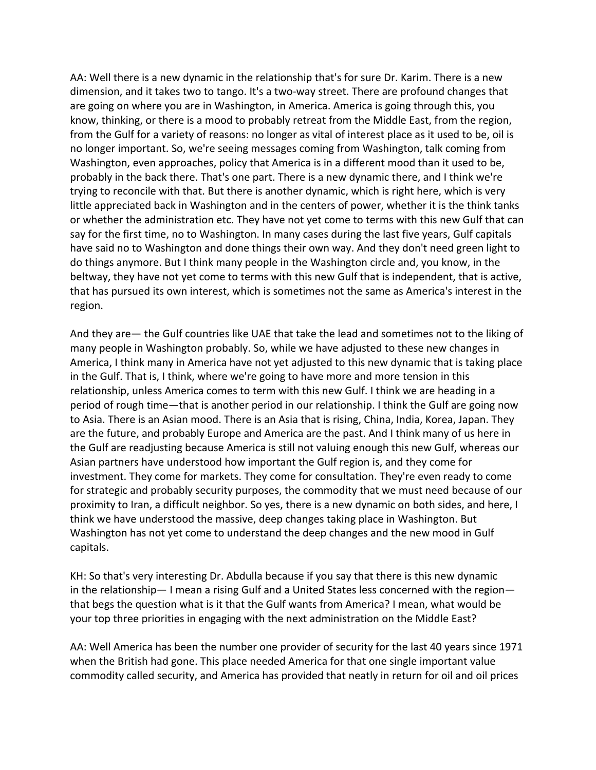AA: Well there is a new dynamic in the relationship that's for sure Dr. Karim. There is a new dimension, and it takes two to tango. It's a two-way street. There are profound changes that are going on where you are in Washington, in America. America is going through this, you know, thinking, or there is a mood to probably retreat from the Middle East, from the region, from the Gulf for a variety of reasons: no longer as vital of interest place as it used to be, oil is no longer important. So, we're seeing messages coming from Washington, talk coming from Washington, even approaches, policy that America is in a different mood than it used to be, probably in the back there. That's one part. There is a new dynamic there, and I think we're trying to reconcile with that. But there is another dynamic, which is right here, which is very little appreciated back in Washington and in the centers of power, whether it is the think tanks or whether the administration etc. They have not yet come to terms with this new Gulf that can say for the first time, no to Washington. In many cases during the last five years, Gulf capitals have said no to Washington and done things their own way. And they don't need green light to do things anymore. But I think many people in the Washington circle and, you know, in the beltway, they have not yet come to terms with this new Gulf that is independent, that is active, that has pursued its own interest, which is sometimes not the same as America's interest in the region.

And they are— the Gulf countries like UAE that take the lead and sometimes not to the liking of many people in Washington probably. So, while we have adjusted to these new changes in America, I think many in America have not yet adjusted to this new dynamic that is taking place in the Gulf. That is, I think, where we're going to have more and more tension in this relationship, unless America comes to term with this new Gulf. I think we are heading in a period of rough time—that is another period in our relationship. I think the Gulf are going now to Asia. There is an Asian mood. There is an Asia that is rising, China, India, Korea, Japan. They are the future, and probably Europe and America are the past. And I think many of us here in the Gulf are readjusting because America is still not valuing enough this new Gulf, whereas our Asian partners have understood how important the Gulf region is, and they come for investment. They come for markets. They come for consultation. They're even ready to come for strategic and probably security purposes, the commodity that we must need because of our proximity to Iran, a difficult neighbor. So yes, there is a new dynamic on both sides, and here, I think we have understood the massive, deep changes taking place in Washington. But Washington has not yet come to understand the deep changes and the new mood in Gulf capitals.

KH: So that's very interesting Dr. Abdulla because if you say that there is this new dynamic in the relationship— I mean a rising Gulf and a United States less concerned with the region that begs the question what is it that the Gulf wants from America? I mean, what would be your top three priorities in engaging with the next administration on the Middle East?

AA: Well America has been the number one provider of security for the last 40 years since 1971 when the British had gone. This place needed America for that one single important value commodity called security, and America has provided that neatly in return for oil and oil prices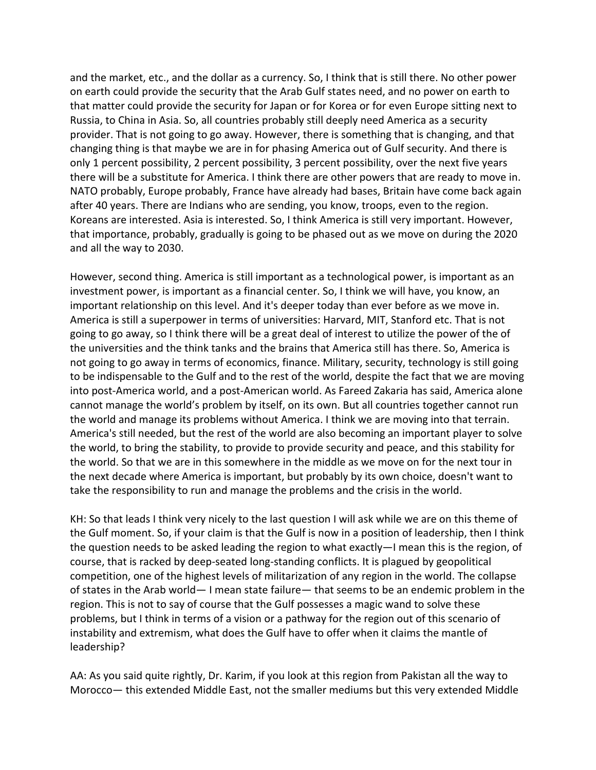and the market, etc., and the dollar as a currency. So, I think that is still there. No other power on earth could provide the security that the Arab Gulf states need, and no power on earth to that matter could provide the security for Japan or for Korea or for even Europe sitting next to Russia, to China in Asia. So, all countries probably still deeply need America as a security provider. That is not going to go away. However, there is something that is changing, and that changing thing is that maybe we are in for phasing America out of Gulf security. And there is only 1 percent possibility, 2 percent possibility, 3 percent possibility, over the next five years there will be a substitute for America. I think there are other powers that are ready to move in. NATO probably, Europe probably, France have already had bases, Britain have come back again after 40 years. There are Indians who are sending, you know, troops, even to the region. Koreans are interested. Asia is interested. So, I think America is still very important. However, that importance, probably, gradually is going to be phased out as we move on during the 2020 and all the way to 2030.

However, second thing. America is still important as a technological power, is important as an investment power, is important as a financial center. So, I think we will have, you know, an important relationship on this level. And it's deeper today than ever before as we move in. America is still a superpower in terms of universities: Harvard, MIT, Stanford etc. That is not going to go away, so I think there will be a great deal of interest to utilize the power of the of the universities and the think tanks and the brains that America still has there. So, America is not going to go away in terms of economics, finance. Military, security, technology is still going to be indispensable to the Gulf and to the rest of the world, despite the fact that we are moving into post-America world, and a post-American world. As Fareed Zakaria has said, America alone cannot manage the world's problem by itself, on its own. But all countries together cannot run the world and manage its problems without America. I think we are moving into that terrain. America's still needed, but the rest of the world are also becoming an important player to solve the world, to bring the stability, to provide to provide security and peace, and this stability for the world. So that we are in this somewhere in the middle as we move on for the next tour in the next decade where America is important, but probably by its own choice, doesn't want to take the responsibility to run and manage the problems and the crisis in the world.

KH: So that leads I think very nicely to the last question I will ask while we are on this theme of the Gulf moment. So, if your claim is that the Gulf is now in a position of leadership, then I think the question needs to be asked leading the region to what exactly—I mean this is the region, of course, that is racked by deep-seated long-standing conflicts. It is plagued by geopolitical competition, one of the highest levels of militarization of any region in the world. The collapse of states in the Arab world— I mean state failure— that seems to be an endemic problem in the region. This is not to say of course that the Gulf possesses a magic wand to solve these problems, but I think in terms of a vision or a pathway for the region out of this scenario of instability and extremism, what does the Gulf have to offer when it claims the mantle of leadership?

AA: As you said quite rightly, Dr. Karim, if you look at this region from Pakistan all the way to Morocco— this extended Middle East, not the smaller mediums but this very extended Middle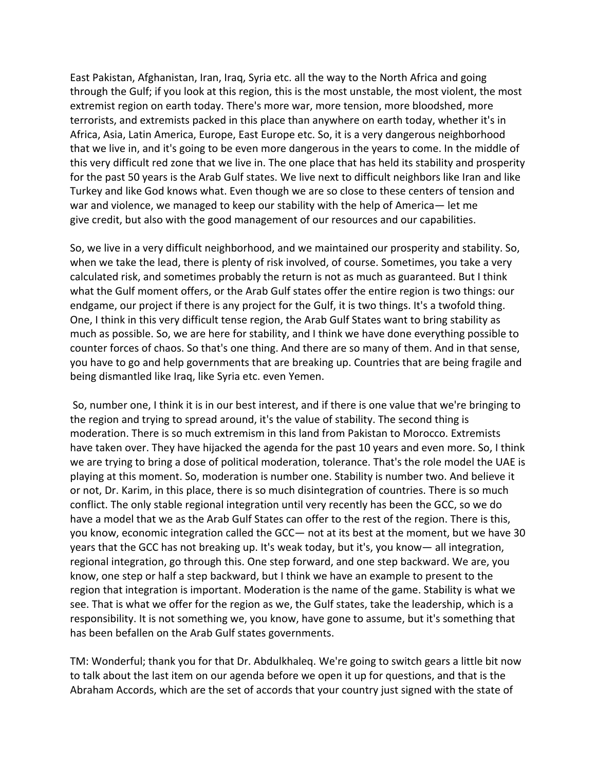East Pakistan, Afghanistan, Iran, Iraq, Syria etc. all the way to the North Africa and going through the Gulf; if you look at this region, this is the most unstable, the most violent, the most extremist region on earth today. There's more war, more tension, more bloodshed, more terrorists, and extremists packed in this place than anywhere on earth today, whether it's in Africa, Asia, Latin America, Europe, East Europe etc. So, it is a very dangerous neighborhood that we live in, and it's going to be even more dangerous in the years to come. In the middle of this very difficult red zone that we live in. The one place that has held its stability and prosperity for the past 50 years is the Arab Gulf states. We live next to difficult neighbors like Iran and like Turkey and like God knows what. Even though we are so close to these centers of tension and war and violence, we managed to keep our stability with the help of America— let me give credit, but also with the good management of our resources and our capabilities.

So, we live in a very difficult neighborhood, and we maintained our prosperity and stability. So, when we take the lead, there is plenty of risk involved, of course. Sometimes, you take a very calculated risk, and sometimes probably the return is not as much as guaranteed. But I think what the Gulf moment offers, or the Arab Gulf states offer the entire region is two things: our endgame, our project if there is any project for the Gulf, it is two things. It's a twofold thing. One, I think in this very difficult tense region, the Arab Gulf States want to bring stability as much as possible. So, we are here for stability, and I think we have done everything possible to counter forces of chaos. So that's one thing. And there are so many of them. And in that sense, you have to go and help governments that are breaking up. Countries that are being fragile and being dismantled like Iraq, like Syria etc. even Yemen.

So, number one, I think it is in our best interest, and if there is one value that we're bringing to the region and trying to spread around, it's the value of stability. The second thing is moderation. There is so much extremism in this land from Pakistan to Morocco. Extremists have taken over. They have hijacked the agenda for the past 10 years and even more. So, I think we are trying to bring a dose of political moderation, tolerance. That's the role model the UAE is playing at this moment. So, moderation is number one. Stability is number two. And believe it or not, Dr. Karim, in this place, there is so much disintegration of countries. There is so much conflict. The only stable regional integration until very recently has been the GCC, so we do have a model that we as the Arab Gulf States can offer to the rest of the region. There is this, you know, economic integration called the GCC— not at its best at the moment, but we have 30 years that the GCC has not breaking up. It's weak today, but it's, you know— all integration, regional integration, go through this. One step forward, and one step backward. We are, you know, one step or half a step backward, but I think we have an example to present to the region that integration is important. Moderation is the name of the game. Stability is what we see. That is what we offer for the region as we, the Gulf states, take the leadership, which is a responsibility. It is not something we, you know, have gone to assume, but it's something that has been befallen on the Arab Gulf states governments.

TM: Wonderful; thank you for that Dr. Abdulkhaleq. We're going to switch gears a little bit now to talk about the last item on our agenda before we open it up for questions, and that is the Abraham Accords, which are the set of accords that your country just signed with the state of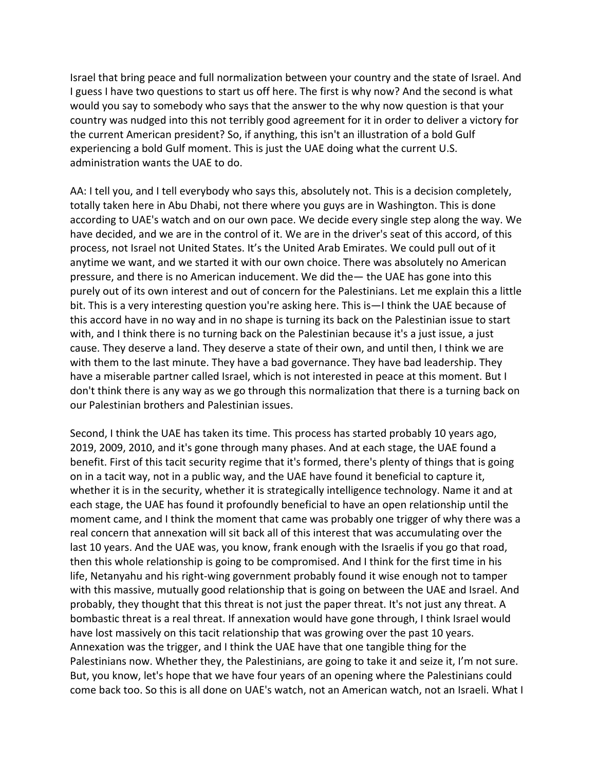Israel that bring peace and full normalization between your country and the state of Israel. And I guess I have two questions to start us off here. The first is why now? And the second is what would you say to somebody who says that the answer to the why now question is that your country was nudged into this not terribly good agreement for it in order to deliver a victory for the current American president? So, if anything, this isn't an illustration of a bold Gulf experiencing a bold Gulf moment. This is just the UAE doing what the current U.S. administration wants the UAE to do.

AA: I tell you, and I tell everybody who says this, absolutely not. This is a decision completely, totally taken here in Abu Dhabi, not there where you guys are in Washington. This is done according to UAE's watch and on our own pace. We decide every single step along the way. We have decided, and we are in the control of it. We are in the driver's seat of this accord, of this process, not Israel not United States. It's the United Arab Emirates. We could pull out of it anytime we want, and we started it with our own choice. There was absolutely no American pressure, and there is no American inducement. We did the— the UAE has gone into this purely out of its own interest and out of concern for the Palestinians. Let me explain this a little bit. This is a very interesting question you're asking here. This is—I think the UAE because of this accord have in no way and in no shape is turning its back on the Palestinian issue to start with, and I think there is no turning back on the Palestinian because it's a just issue, a just cause. They deserve a land. They deserve a state of their own, and until then, I think we are with them to the last minute. They have a bad governance. They have bad leadership. They have a miserable partner called Israel, which is not interested in peace at this moment. But I don't think there is any way as we go through this normalization that there is a turning back on our Palestinian brothers and Palestinian issues.

Second, I think the UAE has taken its time. This process has started probably 10 years ago, 2019, 2009, 2010, and it's gone through many phases. And at each stage, the UAE found a benefit. First of this tacit security regime that it's formed, there's plenty of things that is going on in a tacit way, not in a public way, and the UAE have found it beneficial to capture it, whether it is in the security, whether it is strategically intelligence technology. Name it and at each stage, the UAE has found it profoundly beneficial to have an open relationship until the moment came, and I think the moment that came was probably one trigger of why there was a real concern that annexation will sit back all of this interest that was accumulating over the last 10 years. And the UAE was, you know, frank enough with the Israelis if you go that road, then this whole relationship is going to be compromised. And I think for the first time in his life, Netanyahu and his right-wing government probably found it wise enough not to tamper with this massive, mutually good relationship that is going on between the UAE and Israel. And probably, they thought that this threat is not just the paper threat. It's not just any threat. A bombastic threat is a real threat. If annexation would have gone through, I think Israel would have lost massively on this tacit relationship that was growing over the past 10 years. Annexation was the trigger, and I think the UAE have that one tangible thing for the Palestinians now. Whether they, the Palestinians, are going to take it and seize it, I'm not sure. But, you know, let's hope that we have four years of an opening where the Palestinians could come back too. So this is all done on UAE's watch, not an American watch, not an Israeli. What I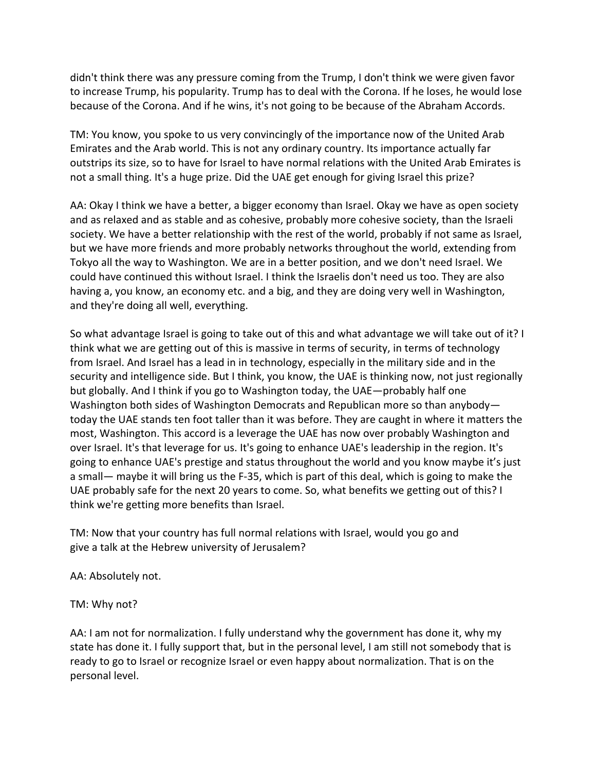didn't think there was any pressure coming from the Trump, I don't think we were given favor to increase Trump, his popularity. Trump has to deal with the Corona. If he loses, he would lose because of the Corona. And if he wins, it's not going to be because of the Abraham Accords.

TM: You know, you spoke to us very convincingly of the importance now of the United Arab Emirates and the Arab world. This is not any ordinary country. Its importance actually far outstrips its size, so to have for Israel to have normal relations with the United Arab Emirates is not a small thing. It's a huge prize. Did the UAE get enough for giving Israel this prize?

AA: Okay I think we have a better, a bigger economy than Israel. Okay we have as open society and as relaxed and as stable and as cohesive, probably more cohesive society, than the Israeli society. We have a better relationship with the rest of the world, probably if not same as Israel, but we have more friends and more probably networks throughout the world, extending from Tokyo all the way to Washington. We are in a better position, and we don't need Israel. We could have continued this without Israel. I think the Israelis don't need us too. They are also having a, you know, an economy etc. and a big, and they are doing very well in Washington, and they're doing all well, everything.

So what advantage Israel is going to take out of this and what advantage we will take out of it? I think what we are getting out of this is massive in terms of security, in terms of technology from Israel. And Israel has a lead in in technology, especially in the military side and in the security and intelligence side. But I think, you know, the UAE is thinking now, not just regionally but globally. And I think if you go to Washington today, the UAE—probably half one Washington both sides of Washington Democrats and Republican more so than anybody today the UAE stands ten foot taller than it was before. They are caught in where it matters the most, Washington. This accord is a leverage the UAE has now over probably Washington and over Israel. It's that leverage for us. It's going to enhance UAE's leadership in the region. It's going to enhance UAE's prestige and status throughout the world and you know maybe it's just a small— maybe it will bring us the F-35, which is part of this deal, which is going to make the UAE probably safe for the next 20 years to come. So, what benefits we getting out of this? I think we're getting more benefits than Israel.

TM: Now that your country has full normal relations with Israel, would you go and give a talk at the Hebrew university of Jerusalem?

AA: Absolutely not.

TM: Why not?

AA: I am not for normalization. I fully understand why the government has done it, why my state has done it. I fully support that, but in the personal level, I am still not somebody that is ready to go to Israel or recognize Israel or even happy about normalization. That is on the personal level.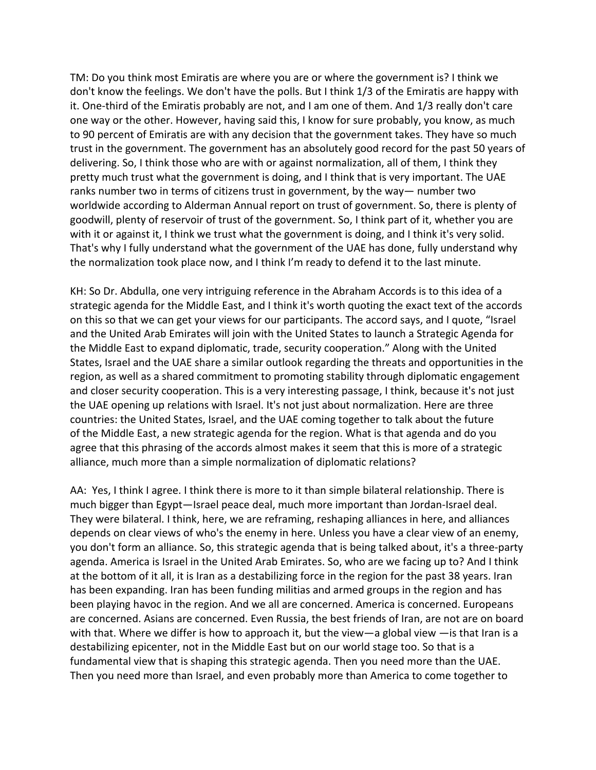TM: Do you think most Emiratis are where you are or where the government is? I think we don't know the feelings. We don't have the polls. But I think 1/3 of the Emiratis are happy with it. One-third of the Emiratis probably are not, and I am one of them. And 1/3 really don't care one way or the other. However, having said this, I know for sure probably, you know, as much to 90 percent of Emiratis are with any decision that the government takes. They have so much trust in the government. The government has an absolutely good record for the past 50 years of delivering. So, I think those who are with or against normalization, all of them, I think they pretty much trust what the government is doing, and I think that is very important. The UAE ranks number two in terms of citizens trust in government, by the way— number two worldwide according to Alderman Annual report on trust of government. So, there is plenty of goodwill, plenty of reservoir of trust of the government. So, I think part of it, whether you are with it or against it, I think we trust what the government is doing, and I think it's very solid. That's why I fully understand what the government of the UAE has done, fully understand why the normalization took place now, and I think I'm ready to defend it to the last minute.

KH: So Dr. Abdulla, one very intriguing reference in the Abraham Accords is to this idea of a strategic agenda for the Middle East, and I think it's worth quoting the exact text of the accords on this so that we can get your views for our participants. The accord says, and I quote, "Israel and the United Arab Emirates will join with the United States to launch a Strategic Agenda for the Middle East to expand diplomatic, trade, security cooperation." Along with the United States, Israel and the UAE share a similar outlook regarding the threats and opportunities in the region, as well as a shared commitment to promoting stability through diplomatic engagement and closer security cooperation. This is a very interesting passage, I think, because it's not just the UAE opening up relations with Israel. It's not just about normalization. Here are three countries: the United States, Israel, and the UAE coming together to talk about the future of the Middle East, a new strategic agenda for the region. What is that agenda and do you agree that this phrasing of the accords almost makes it seem that this is more of a strategic alliance, much more than a simple normalization of diplomatic relations?

AA: Yes, I think I agree. I think there is more to it than simple bilateral relationship. There is much bigger than Egypt—Israel peace deal, much more important than Jordan-Israel deal. They were bilateral. I think, here, we are reframing, reshaping alliances in here, and alliances depends on clear views of who's the enemy in here. Unless you have a clear view of an enemy, you don't form an alliance. So, this strategic agenda that is being talked about, it's a three-party agenda. America is Israel in the United Arab Emirates. So, who are we facing up to? And I think at the bottom of it all, it is Iran as a destabilizing force in the region for the past 38 years. Iran has been expanding. Iran has been funding militias and armed groups in the region and has been playing havoc in the region. And we all are concerned. America is concerned. Europeans are concerned. Asians are concerned. Even Russia, the best friends of Iran, are not are on board with that. Where we differ is how to approach it, but the view—a global view —is that Iran is a destabilizing epicenter, not in the Middle East but on our world stage too. So that is a fundamental view that is shaping this strategic agenda. Then you need more than the UAE. Then you need more than Israel, and even probably more than America to come together to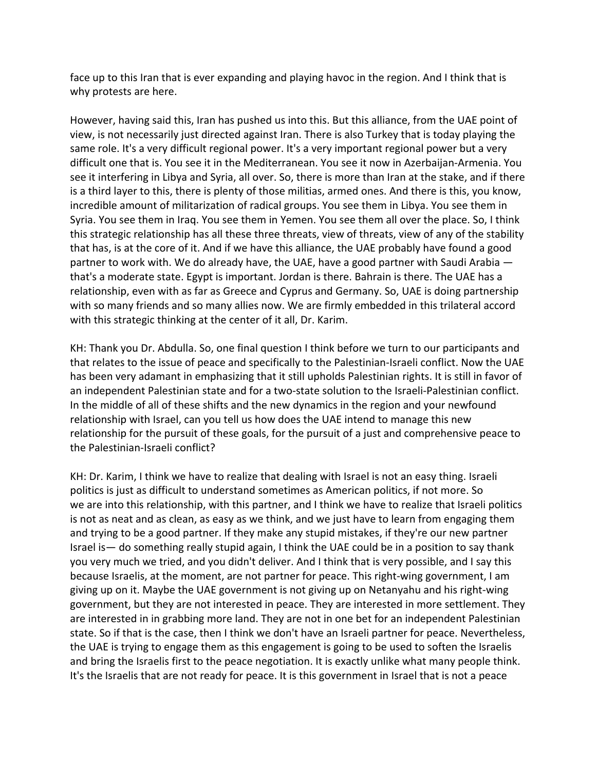face up to this Iran that is ever expanding and playing havoc in the region. And I think that is why protests are here.

However, having said this, Iran has pushed us into this. But this alliance, from the UAE point of view, is not necessarily just directed against Iran. There is also Turkey that is today playing the same role. It's a very difficult regional power. It's a very important regional power but a very difficult one that is. You see it in the Mediterranean. You see it now in Azerbaijan-Armenia. You see it interfering in Libya and Syria, all over. So, there is more than Iran at the stake, and if there is a third layer to this, there is plenty of those militias, armed ones. And there is this, you know, incredible amount of militarization of radical groups. You see them in Libya. You see them in Syria. You see them in Iraq. You see them in Yemen. You see them all over the place. So, I think this strategic relationship has all these three threats, view of threats, view of any of the stability that has, is at the core of it. And if we have this alliance, the UAE probably have found a good partner to work with. We do already have, the UAE, have a good partner with Saudi Arabia that's a moderate state. Egypt is important. Jordan is there. Bahrain is there. The UAE has a relationship, even with as far as Greece and Cyprus and Germany. So, UAE is doing partnership with so many friends and so many allies now. We are firmly embedded in this trilateral accord with this strategic thinking at the center of it all, Dr. Karim.

KH: Thank you Dr. Abdulla. So, one final question I think before we turn to our participants and that relates to the issue of peace and specifically to the Palestinian-Israeli conflict. Now the UAE has been very adamant in emphasizing that it still upholds Palestinian rights. It is still in favor of an independent Palestinian state and for a two-state solution to the Israeli-Palestinian conflict. In the middle of all of these shifts and the new dynamics in the region and your newfound relationship with Israel, can you tell us how does the UAE intend to manage this new relationship for the pursuit of these goals, for the pursuit of a just and comprehensive peace to the Palestinian-Israeli conflict?

KH: Dr. Karim, I think we have to realize that dealing with Israel is not an easy thing. Israeli politics is just as difficult to understand sometimes as American politics, if not more. So we are into this relationship, with this partner, and I think we have to realize that Israeli politics is not as neat and as clean, as easy as we think, and we just have to learn from engaging them and trying to be a good partner. If they make any stupid mistakes, if they're our new partner Israel is— do something really stupid again, I think the UAE could be in a position to say thank you very much we tried, and you didn't deliver. And I think that is very possible, and I say this because Israelis, at the moment, are not partner for peace. This right-wing government, I am giving up on it. Maybe the UAE government is not giving up on Netanyahu and his right-wing government, but they are not interested in peace. They are interested in more settlement. They are interested in in grabbing more land. They are not in one bet for an independent Palestinian state. So if that is the case, then I think we don't have an Israeli partner for peace. Nevertheless, the UAE is trying to engage them as this engagement is going to be used to soften the Israelis and bring the Israelis first to the peace negotiation. It is exactly unlike what many people think. It's the Israelis that are not ready for peace. It is this government in Israel that is not a peace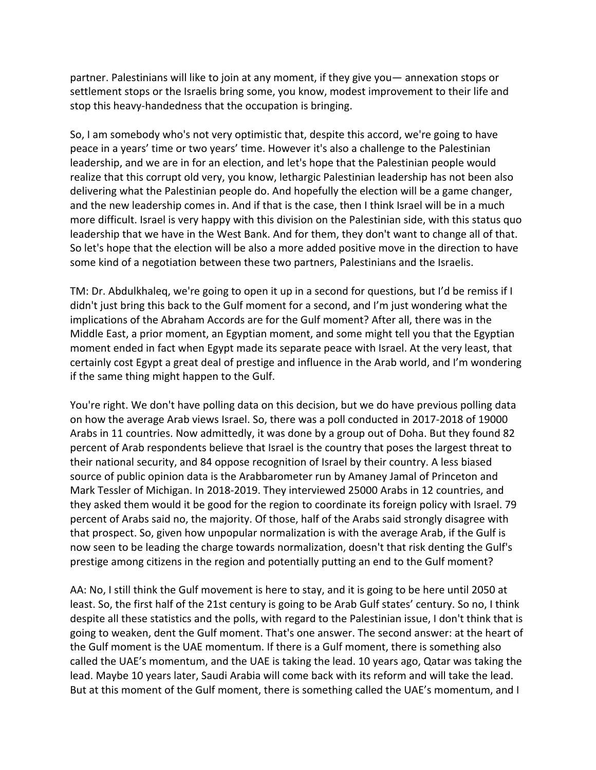partner. Palestinians will like to join at any moment, if they give you— annexation stops or settlement stops or the Israelis bring some, you know, modest improvement to their life and stop this heavy-handedness that the occupation is bringing.

So, I am somebody who's not very optimistic that, despite this accord, we're going to have peace in a years' time or two years' time. However it's also a challenge to the Palestinian leadership, and we are in for an election, and let's hope that the Palestinian people would realize that this corrupt old very, you know, lethargic Palestinian leadership has not been also delivering what the Palestinian people do. And hopefully the election will be a game changer, and the new leadership comes in. And if that is the case, then I think Israel will be in a much more difficult. Israel is very happy with this division on the Palestinian side, with this status quo leadership that we have in the West Bank. And for them, they don't want to change all of that. So let's hope that the election will be also a more added positive move in the direction to have some kind of a negotiation between these two partners, Palestinians and the Israelis.

TM: Dr. Abdulkhaleq, we're going to open it up in a second for questions, but I'd be remiss if I didn't just bring this back to the Gulf moment for a second, and I'm just wondering what the implications of the Abraham Accords are for the Gulf moment? After all, there was in the Middle East, a prior moment, an Egyptian moment, and some might tell you that the Egyptian moment ended in fact when Egypt made its separate peace with Israel. At the very least, that certainly cost Egypt a great deal of prestige and influence in the Arab world, and I'm wondering if the same thing might happen to the Gulf.

You're right. We don't have polling data on this decision, but we do have previous polling data on how the average Arab views Israel. So, there was a poll conducted in 2017-2018 of 19000 Arabs in 11 countries. Now admittedly, it was done by a group out of Doha. But they found 82 percent of Arab respondents believe that Israel is the country that poses the largest threat to their national security, and 84 oppose recognition of Israel by their country. A less biased source of public opinion data is the Arabbarometer run by Amaney Jamal of Princeton and Mark Tessler of Michigan. In 2018-2019. They interviewed 25000 Arabs in 12 countries, and they asked them would it be good for the region to coordinate its foreign policy with Israel. 79 percent of Arabs said no, the majority. Of those, half of the Arabs said strongly disagree with that prospect. So, given how unpopular normalization is with the average Arab, if the Gulf is now seen to be leading the charge towards normalization, doesn't that risk denting the Gulf's prestige among citizens in the region and potentially putting an end to the Gulf moment?

AA: No, I still think the Gulf movement is here to stay, and it is going to be here until 2050 at least. So, the first half of the 21st century is going to be Arab Gulf states' century. So no, I think despite all these statistics and the polls, with regard to the Palestinian issue, I don't think that is going to weaken, dent the Gulf moment. That's one answer. The second answer: at the heart of the Gulf moment is the UAE momentum. If there is a Gulf moment, there is something also called the UAE's momentum, and the UAE is taking the lead. 10 years ago, Qatar was taking the lead. Maybe 10 years later, Saudi Arabia will come back with its reform and will take the lead. But at this moment of the Gulf moment, there is something called the UAE's momentum, and I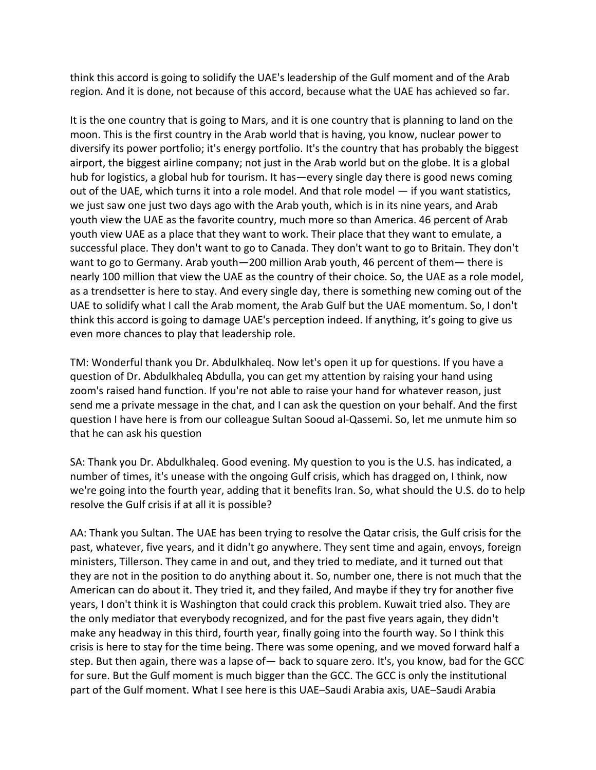think this accord is going to solidify the UAE's leadership of the Gulf moment and of the Arab region. And it is done, not because of this accord, because what the UAE has achieved so far.

It is the one country that is going to Mars, and it is one country that is planning to land on the moon. This is the first country in the Arab world that is having, you know, nuclear power to diversify its power portfolio; it's energy portfolio. It's the country that has probably the biggest airport, the biggest airline company; not just in the Arab world but on the globe. It is a global hub for logistics, a global hub for tourism. It has—every single day there is good news coming out of the UAE, which turns it into a role model. And that role model — if you want statistics, we just saw one just two days ago with the Arab youth, which is in its nine years, and Arab youth view the UAE as the favorite country, much more so than America. 46 percent of Arab youth view UAE as a place that they want to work. Their place that they want to emulate, a successful place. They don't want to go to Canada. They don't want to go to Britain. They don't want to go to Germany. Arab youth—200 million Arab youth, 46 percent of them— there is nearly 100 million that view the UAE as the country of their choice. So, the UAE as a role model, as a trendsetter is here to stay. And every single day, there is something new coming out of the UAE to solidify what I call the Arab moment, the Arab Gulf but the UAE momentum. So, I don't think this accord is going to damage UAE's perception indeed. If anything, it's going to give us even more chances to play that leadership role.

TM: Wonderful thank you Dr. Abdulkhaleq. Now let's open it up for questions. If you have a question of Dr. Abdulkhaleq Abdulla, you can get my attention by raising your hand using zoom's raised hand function. If you're not able to raise your hand for whatever reason, just send me a private message in the chat, and I can ask the question on your behalf. And the first question I have here is from our colleague Sultan Sooud al-Qassemi. So, let me unmute him so that he can ask his question

SA: Thank you Dr. Abdulkhaleq. Good evening. My question to you is the U.S. has indicated, a number of times, it's unease with the ongoing Gulf crisis, which has dragged on, I think, now we're going into the fourth year, adding that it benefits Iran. So, what should the U.S. do to help resolve the Gulf crisis if at all it is possible?

AA: Thank you Sultan. The UAE has been trying to resolve the Qatar crisis, the Gulf crisis for the past, whatever, five years, and it didn't go anywhere. They sent time and again, envoys, foreign ministers, Tillerson. They came in and out, and they tried to mediate, and it turned out that they are not in the position to do anything about it. So, number one, there is not much that the American can do about it. They tried it, and they failed, And maybe if they try for another five years, I don't think it is Washington that could crack this problem. Kuwait tried also. They are the only mediator that everybody recognized, and for the past five years again, they didn't make any headway in this third, fourth year, finally going into the fourth way. So I think this crisis is here to stay for the time being. There was some opening, and we moved forward half a step. But then again, there was a lapse of— back to square zero. It's, you know, bad for the GCC for sure. But the Gulf moment is much bigger than the GCC. The GCC is only the institutional part of the Gulf moment. What I see here is this UAE–Saudi Arabia axis, UAE–Saudi Arabia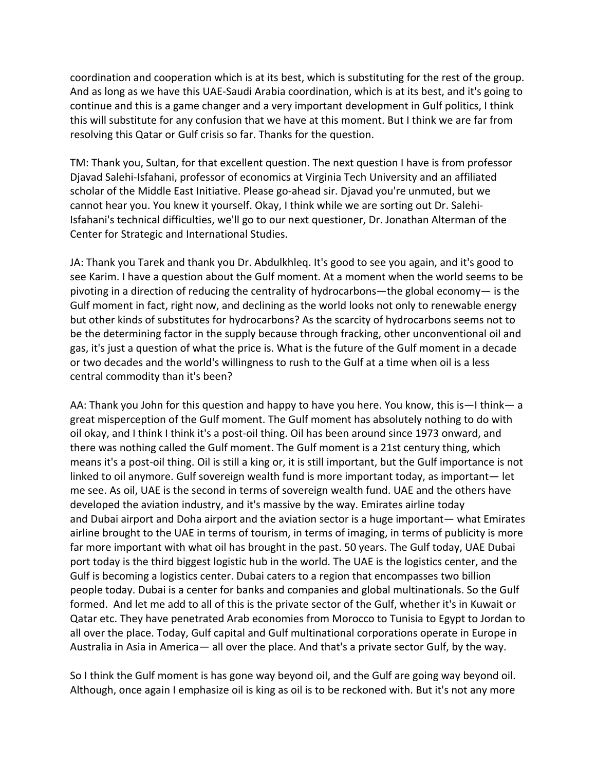coordination and cooperation which is at its best, which is substituting for the rest of the group. And as long as we have this UAE-Saudi Arabia coordination, which is at its best, and it's going to continue and this is a game changer and a very important development in Gulf politics, I think this will substitute for any confusion that we have at this moment. But I think we are far from resolving this Qatar or Gulf crisis so far. Thanks for the question.

TM: Thank you, Sultan, for that excellent question. The next question I have is from professor Djavad Salehi-Isfahani, professor of economics at Virginia Tech University and an affiliated scholar of the Middle East Initiative. Please go-ahead sir. Djavad you're unmuted, but we cannot hear you. You knew it yourself. Okay, I think while we are sorting out Dr. Salehi-Isfahani's technical difficulties, we'll go to our next questioner, Dr. Jonathan Alterman of the Center for Strategic and International Studies.

JA: Thank you Tarek and thank you Dr. Abdulkhleq. It's good to see you again, and it's good to see Karim. I have a question about the Gulf moment. At a moment when the world seems to be pivoting in a direction of reducing the centrality of hydrocarbons—the global economy— is the Gulf moment in fact, right now, and declining as the world looks not only to renewable energy but other kinds of substitutes for hydrocarbons? As the scarcity of hydrocarbons seems not to be the determining factor in the supply because through fracking, other unconventional oil and gas, it's just a question of what the price is. What is the future of the Gulf moment in a decade or two decades and the world's willingness to rush to the Gulf at a time when oil is a less central commodity than it's been?

AA: Thank you John for this question and happy to have you here. You know, this is—I think— a great misperception of the Gulf moment. The Gulf moment has absolutely nothing to do with oil okay, and I think I think it's a post-oil thing. Oil has been around since 1973 onward, and there was nothing called the Gulf moment. The Gulf moment is a 21st century thing, which means it's a post-oil thing. Oil is still a king or, it is still important, but the Gulf importance is not linked to oil anymore. Gulf sovereign wealth fund is more important today, as important— let me see. As oil, UAE is the second in terms of sovereign wealth fund. UAE and the others have developed the aviation industry, and it's massive by the way. Emirates airline today and Dubai airport and Doha airport and the aviation sector is a huge important— what Emirates airline brought to the UAE in terms of tourism, in terms of imaging, in terms of publicity is more far more important with what oil has brought in the past. 50 years. The Gulf today, UAE Dubai port today is the third biggest logistic hub in the world. The UAE is the logistics center, and the Gulf is becoming a logistics center. Dubai caters to a region that encompasses two billion people today. Dubai is a center for banks and companies and global multinationals. So the Gulf formed. And let me add to all of this is the private sector of the Gulf, whether it's in Kuwait or Qatar etc. They have penetrated Arab economies from Morocco to Tunisia to Egypt to Jordan to all over the place. Today, Gulf capital and Gulf multinational corporations operate in Europe in Australia in Asia in America— all over the place. And that's a private sector Gulf, by the way.

So I think the Gulf moment is has gone way beyond oil, and the Gulf are going way beyond oil. Although, once again I emphasize oil is king as oil is to be reckoned with. But it's not any more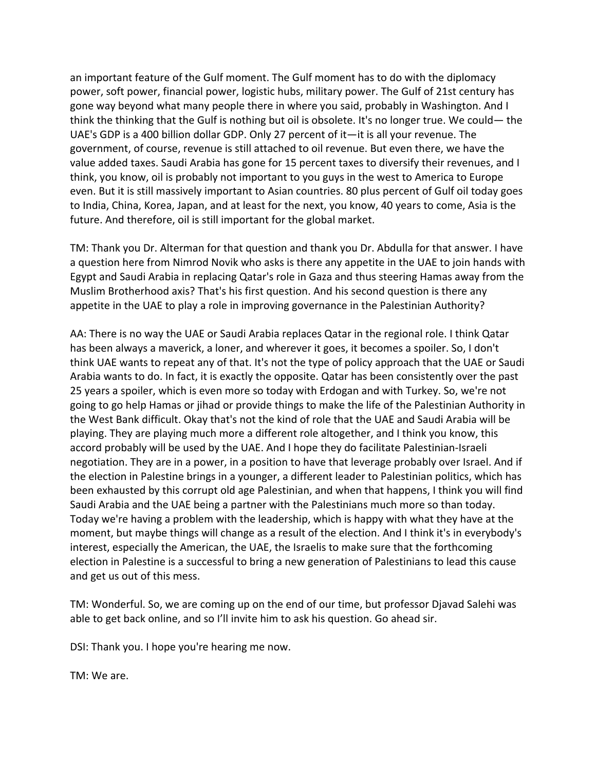an important feature of the Gulf moment. The Gulf moment has to do with the diplomacy power, soft power, financial power, logistic hubs, military power. The Gulf of 21st century has gone way beyond what many people there in where you said, probably in Washington. And I think the thinking that the Gulf is nothing but oil is obsolete. It's no longer true. We could— the UAE's GDP is a 400 billion dollar GDP. Only 27 percent of it—it is all your revenue. The government, of course, revenue is still attached to oil revenue. But even there, we have the value added taxes. Saudi Arabia has gone for 15 percent taxes to diversify their revenues, and I think, you know, oil is probably not important to you guys in the west to America to Europe even. But it is still massively important to Asian countries. 80 plus percent of Gulf oil today goes to India, China, Korea, Japan, and at least for the next, you know, 40 years to come, Asia is the future. And therefore, oil is still important for the global market.

TM: Thank you Dr. Alterman for that question and thank you Dr. Abdulla for that answer. I have a question here from Nimrod Novik who asks is there any appetite in the UAE to join hands with Egypt and Saudi Arabia in replacing Qatar's role in Gaza and thus steering Hamas away from the Muslim Brotherhood axis? That's his first question. And his second question is there any appetite in the UAE to play a role in improving governance in the Palestinian Authority?

AA: There is no way the UAE or Saudi Arabia replaces Qatar in the regional role. I think Qatar has been always a maverick, a loner, and wherever it goes, it becomes a spoiler. So, I don't think UAE wants to repeat any of that. It's not the type of policy approach that the UAE or Saudi Arabia wants to do. In fact, it is exactly the opposite. Qatar has been consistently over the past 25 years a spoiler, which is even more so today with Erdogan and with Turkey. So, we're not going to go help Hamas or jihad or provide things to make the life of the Palestinian Authority in the West Bank difficult. Okay that's not the kind of role that the UAE and Saudi Arabia will be playing. They are playing much more a different role altogether, and I think you know, this accord probably will be used by the UAE. And I hope they do facilitate Palestinian-Israeli negotiation. They are in a power, in a position to have that leverage probably over Israel. And if the election in Palestine brings in a younger, a different leader to Palestinian politics, which has been exhausted by this corrupt old age Palestinian, and when that happens, I think you will find Saudi Arabia and the UAE being a partner with the Palestinians much more so than today. Today we're having a problem with the leadership, which is happy with what they have at the moment, but maybe things will change as a result of the election. And I think it's in everybody's interest, especially the American, the UAE, the Israelis to make sure that the forthcoming election in Palestine is a successful to bring a new generation of Palestinians to lead this cause and get us out of this mess.

TM: Wonderful. So, we are coming up on the end of our time, but professor Djavad Salehi was able to get back online, and so I'll invite him to ask his question. Go ahead sir.

DSI: Thank you. I hope you're hearing me now.

TM: We are.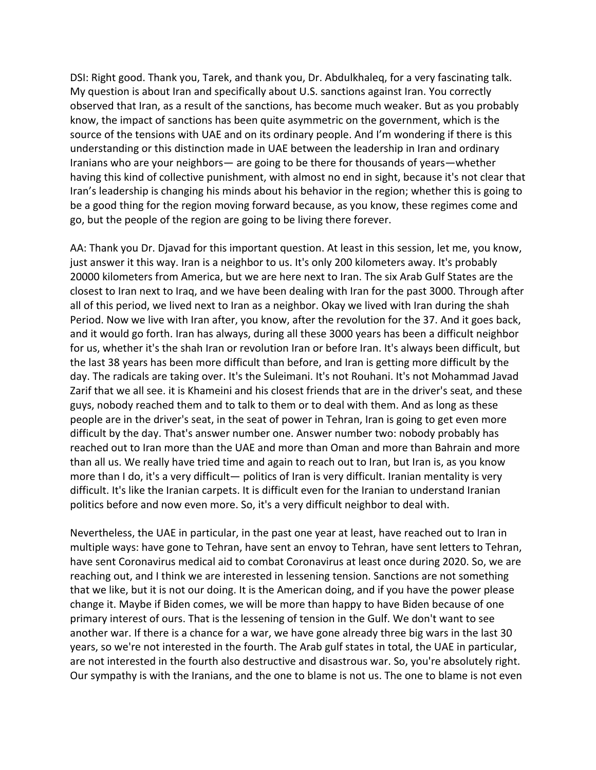DSI: Right good. Thank you, Tarek, and thank you, Dr. Abdulkhaleq, for a very fascinating talk. My question is about Iran and specifically about U.S. sanctions against Iran. You correctly observed that Iran, as a result of the sanctions, has become much weaker. But as you probably know, the impact of sanctions has been quite asymmetric on the government, which is the source of the tensions with UAE and on its ordinary people. And I'm wondering if there is this understanding or this distinction made in UAE between the leadership in Iran and ordinary Iranians who are your neighbors— are going to be there for thousands of years—whether having this kind of collective punishment, with almost no end in sight, because it's not clear that Iran's leadership is changing his minds about his behavior in the region; whether this is going to be a good thing for the region moving forward because, as you know, these regimes come and go, but the people of the region are going to be living there forever.

AA: Thank you Dr. Djavad for this important question. At least in this session, let me, you know, just answer it this way. Iran is a neighbor to us. It's only 200 kilometers away. It's probably 20000 kilometers from America, but we are here next to Iran. The six Arab Gulf States are the closest to Iran next to Iraq, and we have been dealing with Iran for the past 3000. Through after all of this period, we lived next to Iran as a neighbor. Okay we lived with Iran during the shah Period. Now we live with Iran after, you know, after the revolution for the 37. And it goes back, and it would go forth. Iran has always, during all these 3000 years has been a difficult neighbor for us, whether it's the shah Iran or revolution Iran or before Iran. It's always been difficult, but the last 38 years has been more difficult than before, and Iran is getting more difficult by the day. The radicals are taking over. It's the Suleimani. It's not Rouhani. It's not Mohammad Javad Zarif that we all see. it is Khameini and his closest friends that are in the driver's seat, and these guys, nobody reached them and to talk to them or to deal with them. And as long as these people are in the driver's seat, in the seat of power in Tehran, Iran is going to get even more difficult by the day. That's answer number one. Answer number two: nobody probably has reached out to Iran more than the UAE and more than Oman and more than Bahrain and more than all us. We really have tried time and again to reach out to Iran, but Iran is, as you know more than I do, it's a very difficult— politics of Iran is very difficult. Iranian mentality is very difficult. It's like the Iranian carpets. It is difficult even for the Iranian to understand Iranian politics before and now even more. So, it's a very difficult neighbor to deal with.

Nevertheless, the UAE in particular, in the past one year at least, have reached out to Iran in multiple ways: have gone to Tehran, have sent an envoy to Tehran, have sent letters to Tehran, have sent Coronavirus medical aid to combat Coronavirus at least once during 2020. So, we are reaching out, and I think we are interested in lessening tension. Sanctions are not something that we like, but it is not our doing. It is the American doing, and if you have the power please change it. Maybe if Biden comes, we will be more than happy to have Biden because of one primary interest of ours. That is the lessening of tension in the Gulf. We don't want to see another war. If there is a chance for a war, we have gone already three big wars in the last 30 years, so we're not interested in the fourth. The Arab gulf states in total, the UAE in particular, are not interested in the fourth also destructive and disastrous war. So, you're absolutely right. Our sympathy is with the Iranians, and the one to blame is not us. The one to blame is not even